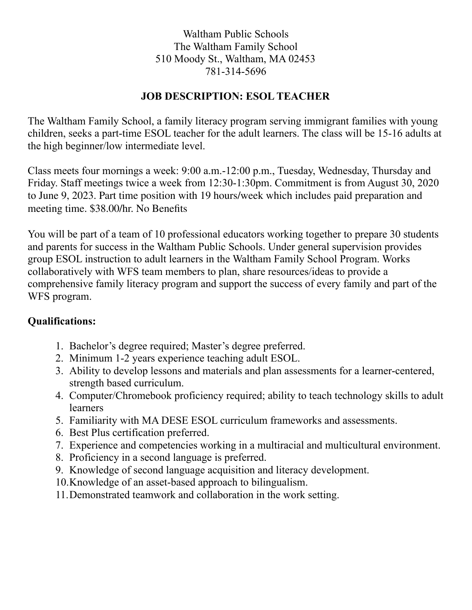Waltham Public Schools The Waltham Family School 510 Moody St., Waltham, MA 02453 781-314-5696

## **JOB DESCRIPTION: ESOL TEACHER**

The Waltham Family School, a family literacy program serving immigrant families with young children, seeks a part-time ESOL teacher for the adult learners. The class will be 15-16 adults at the high beginner/low intermediate level.

Class meets four mornings a week: 9:00 a.m.-12:00 p.m., Tuesday, Wednesday, Thursday and Friday. Staff meetings twice a week from 12:30-1:30pm. Commitment is from August 30, 2020 to June 9, 2023. Part time position with 19 hours/week which includes paid preparation and meeting time. \$38.00/hr. No Benefits

You will be part of a team of 10 professional educators working together to prepare 30 students and parents for success in the Waltham Public Schools. Under general supervision provides group ESOL instruction to adult learners in the Waltham Family School Program. Works collaboratively with WFS team members to plan, share resources/ideas to provide a comprehensive family literacy program and support the success of every family and part of the WFS program.

## **Qualifications:**

- 1. Bachelor's degree required; Master's degree preferred.
- 2. Minimum 1-2 years experience teaching adult ESOL.
- 3. Ability to develop lessons and materials and plan assessments for a learner-centered, strength based curriculum.
- 4. Computer/Chromebook proficiency required; ability to teach technology skills to adult learners
- 5. Familiarity with MA DESE ESOL curriculum frameworks and assessments.
- 6. Best Plus certification preferred.
- 7. Experience and competencies working in a multiracial and multicultural environment.
- 8. Proficiency in a second language is preferred.
- 9. Knowledge of second language acquisition and literacy development.
- 10.Knowledge of an asset-based approach to bilingualism.
- 11.Demonstrated teamwork and collaboration in the work setting.